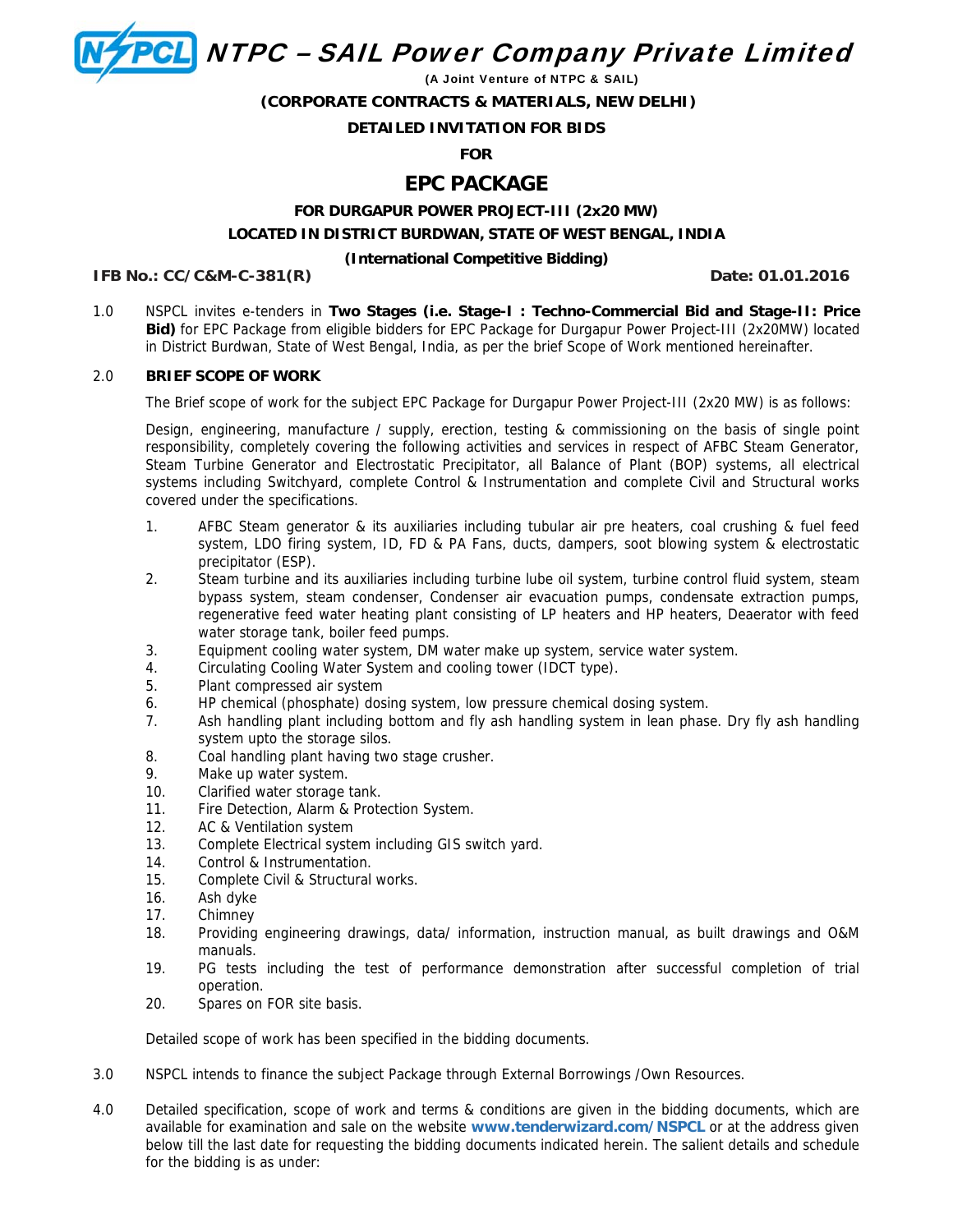**PCL** NTPC - SAIL Power Company Private Limited

(A Joint Venture of NTPC & SAIL)

 **(CORPORATE CONTRACTS & MATERIALS, NEW DELHI)** 

# **DETAILED INVITATION FOR BIDS**

**FOR** 

# **EPC PACKAGE**

# **FOR DURGAPUR POWER PROJECT-III (2x20 MW) LOCATED IN DISTRICT BURDWAN, STATE OF WEST BENGAL, INDIA**

# **(International Competitive Bidding)**

**IFB No.: CC/C&M-C-381(R)**  $\qquad \qquad$  Date: 01.01.2016

1.0 NSPCL invites e-tenders in **Two Stages (i.e. Stage-I : Techno-Commercial Bid and Stage-II: Price Bid)** for EPC Package from eligible bidders for EPC Package for Durgapur Power Project-III (2x20MW) located in District Burdwan, State of West Bengal, India, as per the brief Scope of Work mentioned hereinafter.

# 2.0 **BRIEF SCOPE OF WORK**

The Brief scope of work for the subject EPC Package for Durgapur Power Project-III (2x20 MW) is as follows:

Design, engineering, manufacture / supply, erection, testing & commissioning on the basis of single point responsibility, completely covering the following activities and services in respect of AFBC Steam Generator, Steam Turbine Generator and Electrostatic Precipitator, all Balance of Plant (BOP) systems, all electrical systems including Switchyard, complete Control & Instrumentation and complete Civil and Structural works covered under the specifications.

- 1. AFBC Steam generator & its auxiliaries including tubular air pre heaters, coal crushing & fuel feed system, LDO firing system, ID, FD & PA Fans, ducts, dampers, soot blowing system & electrostatic precipitator (ESP).
- 2. Steam turbine and its auxiliaries including turbine lube oil system, turbine control fluid system, steam bypass system, steam condenser, Condenser air evacuation pumps, condensate extraction pumps, regenerative feed water heating plant consisting of LP heaters and HP heaters, Deaerator with feed water storage tank, boiler feed pumps.
- 3. Equipment cooling water system, DM water make up system, service water system.
- 4. Circulating Cooling Water System and cooling tower (IDCT type).
- 5. Plant compressed air system
- 6. HP chemical (phosphate) dosing system, low pressure chemical dosing system.
- 7. Ash handling plant including bottom and fly ash handling system in lean phase. Dry fly ash handling system upto the storage silos.
- 8. Coal handling plant having two stage crusher.
- 9. Make up water system.
- 10. Clarified water storage tank.
- 11. Fire Detection, Alarm & Protection System.
- 12. AC & Ventilation system
- 13. Complete Electrical system including GIS switch yard.
- 14. Control & Instrumentation.
- 15. Complete Civil & Structural works.
- 16. Ash dyke
- 17. Chimney
- 18. Providing engineering drawings, data/ information, instruction manual, as built drawings and O&M manuals.
- 19. PG tests including the test of performance demonstration after successful completion of trial operation.
- 20. Spares on FOR site basis.

Detailed scope of work has been specified in the bidding documents.

- 3.0 NSPCL intends to finance the subject Package through External Borrowings /Own Resources.
- 4.0 Detailed specification, scope of work and terms & conditions are given in the bidding documents, which are available for examination and sale on the website **www.tenderwizard.com/NSPCL** or at the address given below till the last date for requesting the bidding documents indicated herein. The salient details and schedule for the bidding is as under: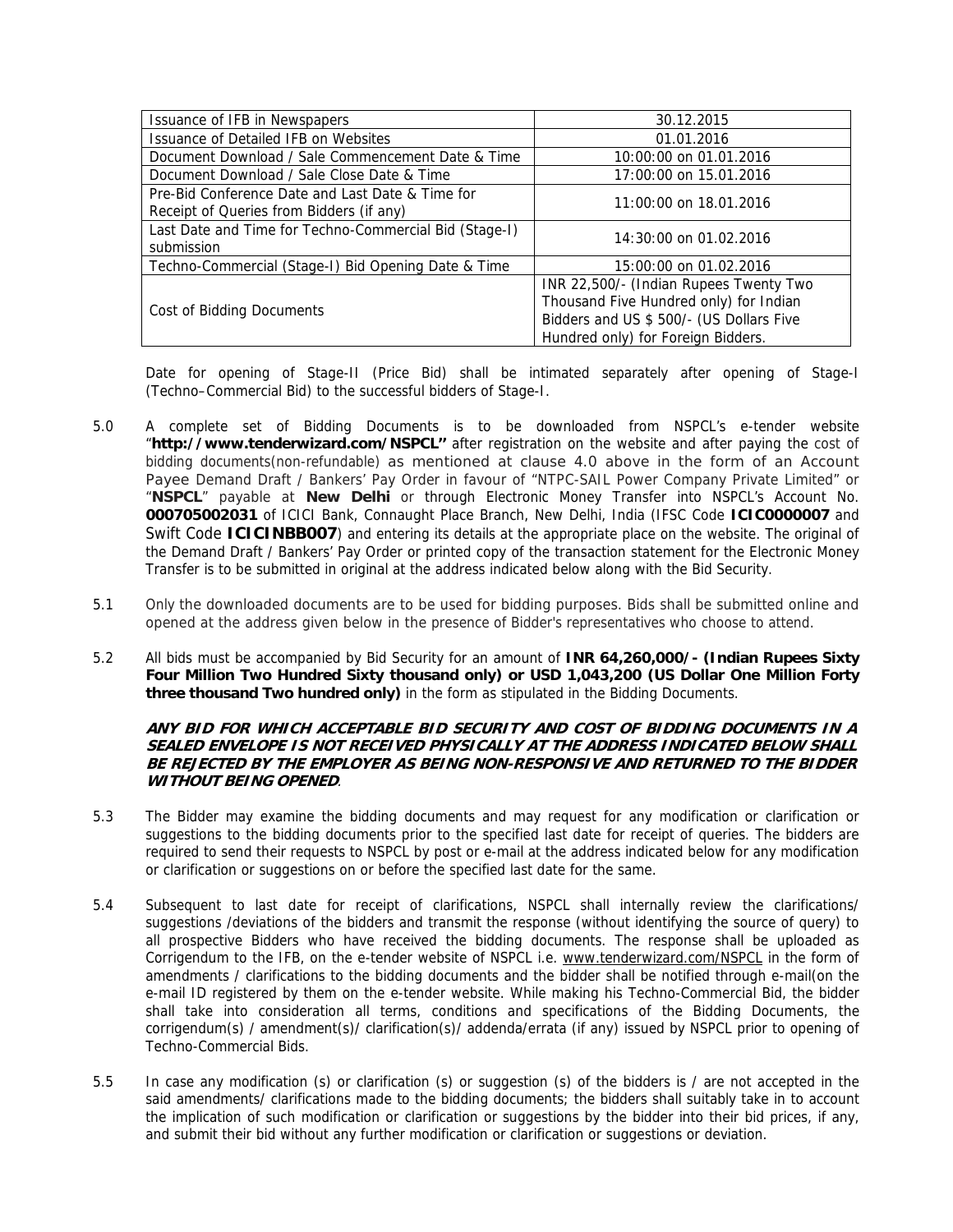| Issuance of IFB in Newspapers                                                                | 30.12.2015                                                                                                                                                         |  |
|----------------------------------------------------------------------------------------------|--------------------------------------------------------------------------------------------------------------------------------------------------------------------|--|
| <b>Issuance of Detailed IFB on Websites</b>                                                  | 01.01.2016                                                                                                                                                         |  |
| Document Download / Sale Commencement Date & Time                                            | 10:00:00 on 01.01.2016                                                                                                                                             |  |
| Document Download / Sale Close Date & Time                                                   | 17:00:00 on 15.01.2016                                                                                                                                             |  |
| Pre-Bid Conference Date and Last Date & Time for<br>Receipt of Queries from Bidders (if any) | 11:00:00 on 18.01.2016                                                                                                                                             |  |
| Last Date and Time for Techno-Commercial Bid (Stage-I)<br>submission                         | 14:30:00 on 01.02.2016                                                                                                                                             |  |
| Techno-Commercial (Stage-I) Bid Opening Date & Time                                          | 15:00:00 on 01.02.2016                                                                                                                                             |  |
| Cost of Bidding Documents                                                                    | INR 22,500/- (Indian Rupees Twenty Two<br>Thousand Five Hundred only) for Indian<br>Bidders and US \$ 500/- (US Dollars Five<br>Hundred only) for Foreign Bidders. |  |

Date for opening of Stage-II (Price Bid) shall be intimated separately after opening of Stage-I (Techno–Commercial Bid) to the successful bidders of Stage-I.

- 5.0 A complete set of Bidding Documents is to be downloaded from NSPCL's e-tender website "**http://www.tenderwizard.com/NSPCL''** after registration on the website and after paying the cost of bidding documents(non-refundable) as mentioned at clause 4.0 above in the form of an Account Payee Demand Draft / Bankers' Pay Order in favour of "NTPC-SAIL Power Company Private Limited" or "**NSPCL**" payable at **New Delhi** or through Electronic Money Transfer into NSPCL's Account No. **000705002031** of ICICI Bank, Connaught Place Branch, New Delhi, India (IFSC Code **ICIC0000007** and Swift Code **ICICINBB007**) and entering its details at the appropriate place on the website. The original of the Demand Draft / Bankers' Pay Order or printed copy of the transaction statement for the Electronic Money Transfer is to be submitted in original at the address indicated below along with the Bid Security.
- 5.1 Only the downloaded documents are to be used for bidding purposes. Bids shall be submitted online and opened at the address given below in the presence of Bidder's representatives who choose to attend.
- 5.2 All bids must be accompanied by Bid Security for an amount of **INR 64,260,000/- (Indian Rupees Sixty Four Million Two Hundred Sixty thousand only) or USD 1,043,200 (US Dollar One Million Forty three thousand Two hundred only)** in the form as stipulated in the Bidding Documents.

#### **ANY BID FOR WHICH ACCEPTABLE BID SECURITY AND COST OF BIDDING DOCUMENTS IN A SEALED ENVELOPE IS NOT RECEIVED PHYSICALLY AT THE ADDRESS INDICATED BELOW SHALL BE REJECTED BY THE EMPLOYER AS BEING NON-RESPONSIVE AND RETURNED TO THE BIDDER WITHOUT BEING OPENED**.

- 5.3 The Bidder may examine the bidding documents and may request for any modification or clarification or suggestions to the bidding documents prior to the specified last date for receipt of queries. The bidders are required to send their requests to NSPCL by post or e-mail at the address indicated below for any modification or clarification or suggestions on or before the specified last date for the same.
- 5.4 Subsequent to last date for receipt of clarifications, NSPCL shall internally review the clarifications/ suggestions /deviations of the bidders and transmit the response (without identifying the source of query) to all prospective Bidders who have received the bidding documents. The response shall be uploaded as Corrigendum to the IFB, on the e-tender website of NSPCL i.e. www.tenderwizard.com/NSPCL in the form of amendments / clarifications to the bidding documents and the bidder shall be notified through e-mail(on the e-mail ID registered by them on the e-tender website. While making his Techno-Commercial Bid, the bidder shall take into consideration all terms, conditions and specifications of the Bidding Documents, the corrigendum(s) / amendment(s)/ clarification(s)/ addenda/errata (if any) issued by NSPCL prior to opening of Techno-Commercial Bids.
- 5.5 In case any modification (s) or clarification (s) or suggestion (s) of the bidders is / are not accepted in the said amendments/ clarifications made to the bidding documents; the bidders shall suitably take in to account the implication of such modification or clarification or suggestions by the bidder into their bid prices, if any, and submit their bid without any further modification or clarification or suggestions or deviation.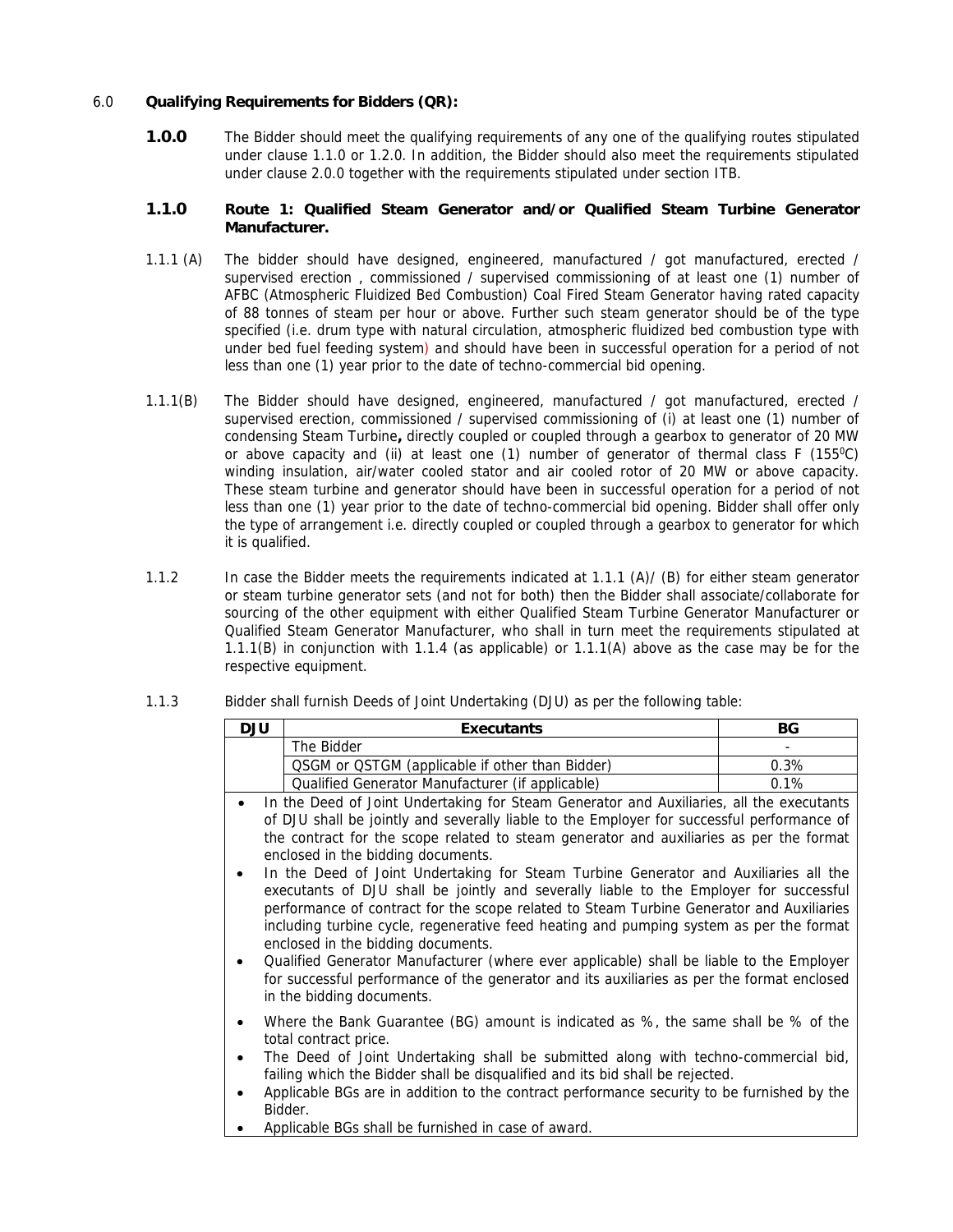# 6.0 **Qualifying Requirements for Bidders (QR):**

**1.0.0** The Bidder should meet the qualifying requirements of any one of the qualifying routes stipulated under clause 1.1.0 or 1.2.0. In addition, the Bidder should also meet the requirements stipulated under clause 2.0.0 together with the requirements stipulated under section ITB.

## **1.1.0 Route 1: Qualified Steam Generator and/or Qualified Steam Turbine Generator Manufacturer.**

- 1.1.1 (A) The bidder should have designed, engineered, manufactured / got manufactured, erected / supervised erection , commissioned / supervised commissioning of at least one (1) number of AFBC (Atmospheric Fluidized Bed Combustion) Coal Fired Steam Generator having rated capacity of 88 tonnes of steam per hour or above. Further such steam generator should be of the type specified (i.e. drum type with natural circulation, atmospheric fluidized bed combustion type with under bed fuel feeding system) and should have been in successful operation for a period of not less than one (1) year prior to the date of techno-commercial bid opening.
- 1.1.1(B) The Bidder should have designed, engineered, manufactured / got manufactured, erected / supervised erection, commissioned / supervised commissioning of (i) at least one (1) number of condensing Steam Turbine**,** directly coupled or coupled through a gearbox to generator of 20 MW or above capacity and (ii) at least one (1) number of generator of thermal class  $F(155^{\circ}C)$ winding insulation, air/water cooled stator and air cooled rotor of 20 MW or above capacity. These steam turbine and generator should have been in successful operation for a period of not less than one (1) year prior to the date of techno-commercial bid opening. Bidder shall offer only the type of arrangement i.e. directly coupled or coupled through a gearbox to generator for which it is qualified.
- 1.1.2 In case the Bidder meets the requirements indicated at 1.1.1 (A)/ (B) for either steam generator or steam turbine generator sets (and not for both) then the Bidder shall associate/collaborate for sourcing of the other equipment with either Qualified Steam Turbine Generator Manufacturer or Qualified Steam Generator Manufacturer, who shall in turn meet the requirements stipulated at 1.1.1(B) in conjunction with 1.1.4 (as applicable) or 1.1.1(A) above as the case may be for the respective equipment.

| DJU | <b>Executants</b>                                | ВG                       |
|-----|--------------------------------------------------|--------------------------|
|     | The Bidder                                       | $\overline{\phantom{a}}$ |
|     | QSGM or QSTGM (applicable if other than Bidder)  | 0.3%                     |
|     | Qualified Generator Manufacturer (if applicable) | 0.1%                     |

- 1.1.3 Bidder shall furnish Deeds of Joint Undertaking (DJU) as per the following table:
	- In the Deed of Joint Undertaking for Steam Generator and Auxiliaries, all the executants of DJU shall be jointly and severally liable to the Employer for successful performance of the contract for the scope related to steam generator and auxiliaries as per the format enclosed in the bidding documents.
	- In the Deed of Joint Undertaking for Steam Turbine Generator and Auxiliaries all the executants of DJU shall be jointly and severally liable to the Employer for successful performance of contract for the scope related to Steam Turbine Generator and Auxiliaries including turbine cycle, regenerative feed heating and pumping system as per the format enclosed in the bidding documents.
	- Qualified Generator Manufacturer (where ever applicable) shall be liable to the Employer for successful performance of the generator and its auxiliaries as per the format enclosed in the bidding documents.
	- Where the Bank Guarantee (BG) amount is indicated as %, the same shall be % of the total contract price.
	- The Deed of Joint Undertaking shall be submitted along with techno-commercial bid, failing which the Bidder shall be disqualified and its bid shall be rejected.
	- Applicable BGs are in addition to the contract performance security to be furnished by the Bidder.
	- Applicable BGs shall be furnished in case of award.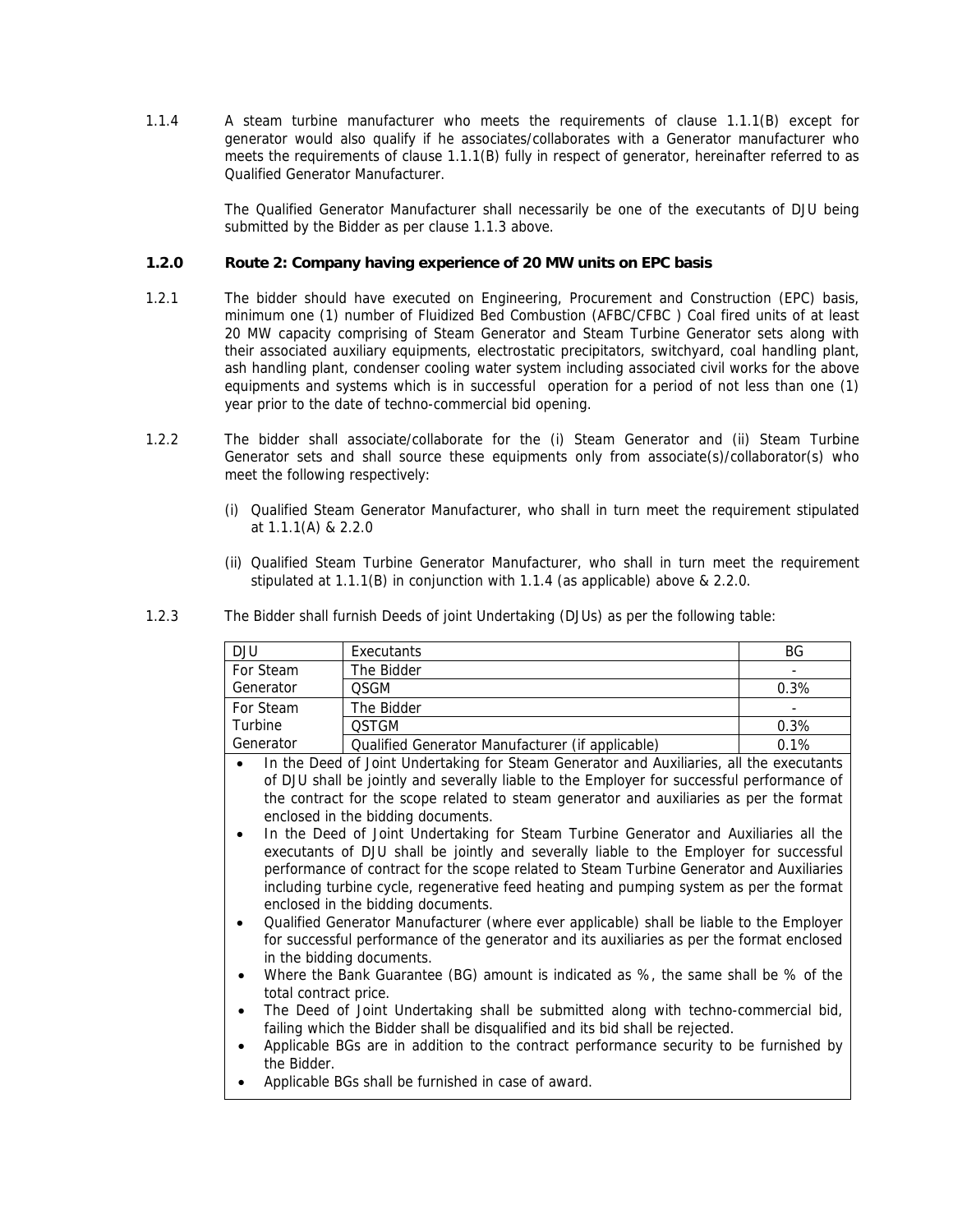1.1.4 A steam turbine manufacturer who meets the requirements of clause 1.1.1(B) except for generator would also qualify if he associates/collaborates with a Generator manufacturer who meets the requirements of clause 1.1.1(B) fully in respect of generator, hereinafter referred to as Qualified Generator Manufacturer.

> The Qualified Generator Manufacturer shall necessarily be one of the executants of DJU being submitted by the Bidder as per clause 1.1.3 above.

## **1.2.0 Route 2: Company having experience of 20 MW units on EPC basis**

- 1.2.1 The bidder should have executed on Engineering, Procurement and Construction (EPC) basis, minimum one (1) number of Fluidized Bed Combustion (AFBC/CFBC ) Coal fired units of at least 20 MW capacity comprising of Steam Generator and Steam Turbine Generator sets along with their associated auxiliary equipments, electrostatic precipitators, switchyard, coal handling plant, ash handling plant, condenser cooling water system including associated civil works for the above equipments and systems which is in successful operation for a period of not less than one (1) year prior to the date of techno-commercial bid opening.
- 1.2.2 The bidder shall associate/collaborate for the (i) Steam Generator and (ii) Steam Turbine Generator sets and shall source these equipments only from associate(s)/collaborator(s) who meet the following respectively:
	- (i) Qualified Steam Generator Manufacturer, who shall in turn meet the requirement stipulated at 1.1.1(A) & 2.2.0
	- (ii) Qualified Steam Turbine Generator Manufacturer, who shall in turn meet the requirement stipulated at 1.1.1(B) in conjunction with 1.1.4 (as applicable) above & 2.2.0.

| DJU       | Executants                                       | ΒG                       |
|-----------|--------------------------------------------------|--------------------------|
| For Steam | The Bidder                                       | $\overline{\phantom{0}}$ |
| Generator | OSGM                                             | 0.3%                     |
| For Steam | The Bidder                                       | $\overline{\phantom{0}}$ |
| Turbine   | <b>OSTGM</b>                                     | 0.3%                     |
| Generator | Qualified Generator Manufacturer (if applicable) | 0.1%                     |

1.2.3 The Bidder shall furnish Deeds of joint Undertaking (DJUs) as per the following table:

- In the Deed of Joint Undertaking for Steam Generator and Auxiliaries, all the executants of DJU shall be jointly and severally liable to the Employer for successful performance of the contract for the scope related to steam generator and auxiliaries as per the format enclosed in the bidding documents.
- In the Deed of Joint Undertaking for Steam Turbine Generator and Auxiliaries all the executants of DJU shall be jointly and severally liable to the Employer for successful performance of contract for the scope related to Steam Turbine Generator and Auxiliaries including turbine cycle, regenerative feed heating and pumping system as per the format enclosed in the bidding documents.
- Qualified Generator Manufacturer (where ever applicable) shall be liable to the Employer for successful performance of the generator and its auxiliaries as per the format enclosed in the bidding documents.
- Where the Bank Guarantee (BG) amount is indicated as %, the same shall be % of the total contract price.
- The Deed of Joint Undertaking shall be submitted along with techno-commercial bid, failing which the Bidder shall be disqualified and its bid shall be rejected.
- Applicable BGs are in addition to the contract performance security to be furnished by the Bidder.
- Applicable BGs shall be furnished in case of award.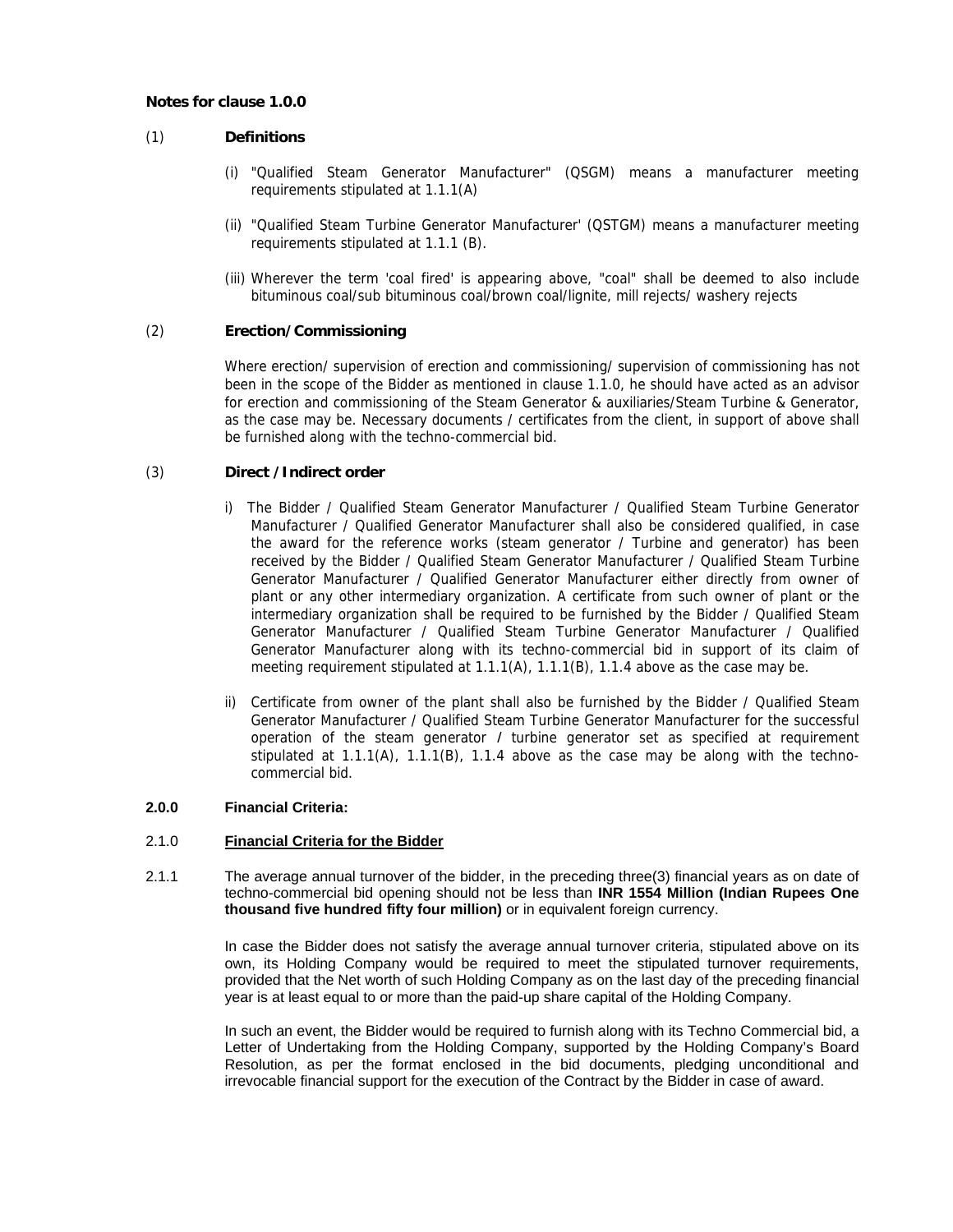#### **Notes for clause 1.0.0**

# (1) **Definitions**

- (i) "Qualified Steam Generator Manufacturer" (QSGM) means a manufacturer meeting requirements stipulated at 1.1.1(A)
- (ii) "Qualified Steam Turbine Generator Manufacturer' (QSTGM) means a manufacturer meeting requirements stipulated at 1.1.1 (B).
- (iii) Wherever the term 'coal fired' is appearing above, "coal" shall be deemed to also include bituminous coal/sub bituminous coal/brown coal/lignite, mill rejects/ washery rejects

### (2) **Erection/Commissioning**

Where erection/ supervision of erection and commissioning/ supervision of commissioning has not been in the scope of the Bidder as mentioned in clause 1.1.0, he should have acted as an advisor for erection and commissioning of the Steam Generator & auxiliaries/Steam Turbine & Generator, as the case may be. Necessary documents / certificates from the client, in support of above shall be furnished along with the techno-commercial bid.

### (3) **Direct /Indirect order**

- i) The Bidder / Qualified Steam Generator Manufacturer / Qualified Steam Turbine Generator Manufacturer / Qualified Generator Manufacturer shall also be considered qualified, in case the award for the reference works (steam generator / Turbine and generator) has been received by the Bidder / Qualified Steam Generator Manufacturer / Qualified Steam Turbine Generator Manufacturer / Qualified Generator Manufacturer either directly from owner of plant or any other intermediary organization. A certificate from such owner of plant or the intermediary organization shall be required to be furnished by the Bidder / Qualified Steam Generator Manufacturer / Qualified Steam Turbine Generator Manufacturer / Qualified Generator Manufacturer along with its techno-commercial bid in support of its claim of meeting requirement stipulated at 1.1.1(A), 1.1.1(B), 1.1.4 above as the case may be.
- ii) Certificate from owner of the plant shall also be furnished by the Bidder / Qualified Steam Generator Manufacturer / Qualified Steam Turbine Generator Manufacturer for the successful operation of the steam generator I turbine generator set as specified at requirement stipulated at  $1.1(4)$ ,  $1.1(8)$ ,  $1.1.4$  above as the case may be along with the technocommercial bid.

#### **2.0.0 Financial Criteria:**

#### 2.1.0 **Financial Criteria for the Bidder**

2.1.1 The average annual turnover of the bidder, in the preceding three(3) financial years as on date of techno-commercial bid opening should not be less than **INR 1554 Million (Indian Rupees One thousand five hundred fifty four million)** or in equivalent foreign currency.

> In case the Bidder does not satisfy the average annual turnover criteria, stipulated above on its own, its Holding Company would be required to meet the stipulated turnover requirements, provided that the Net worth of such Holding Company as on the last day of the preceding financial year is at least equal to or more than the paid-up share capital of the Holding Company.

> In such an event, the Bidder would be required to furnish along with its Techno Commercial bid, a Letter of Undertaking from the Holding Company, supported by the Holding Company's Board Resolution, as per the format enclosed in the bid documents, pledging unconditional and irrevocable financial support for the execution of the Contract by the Bidder in case of award.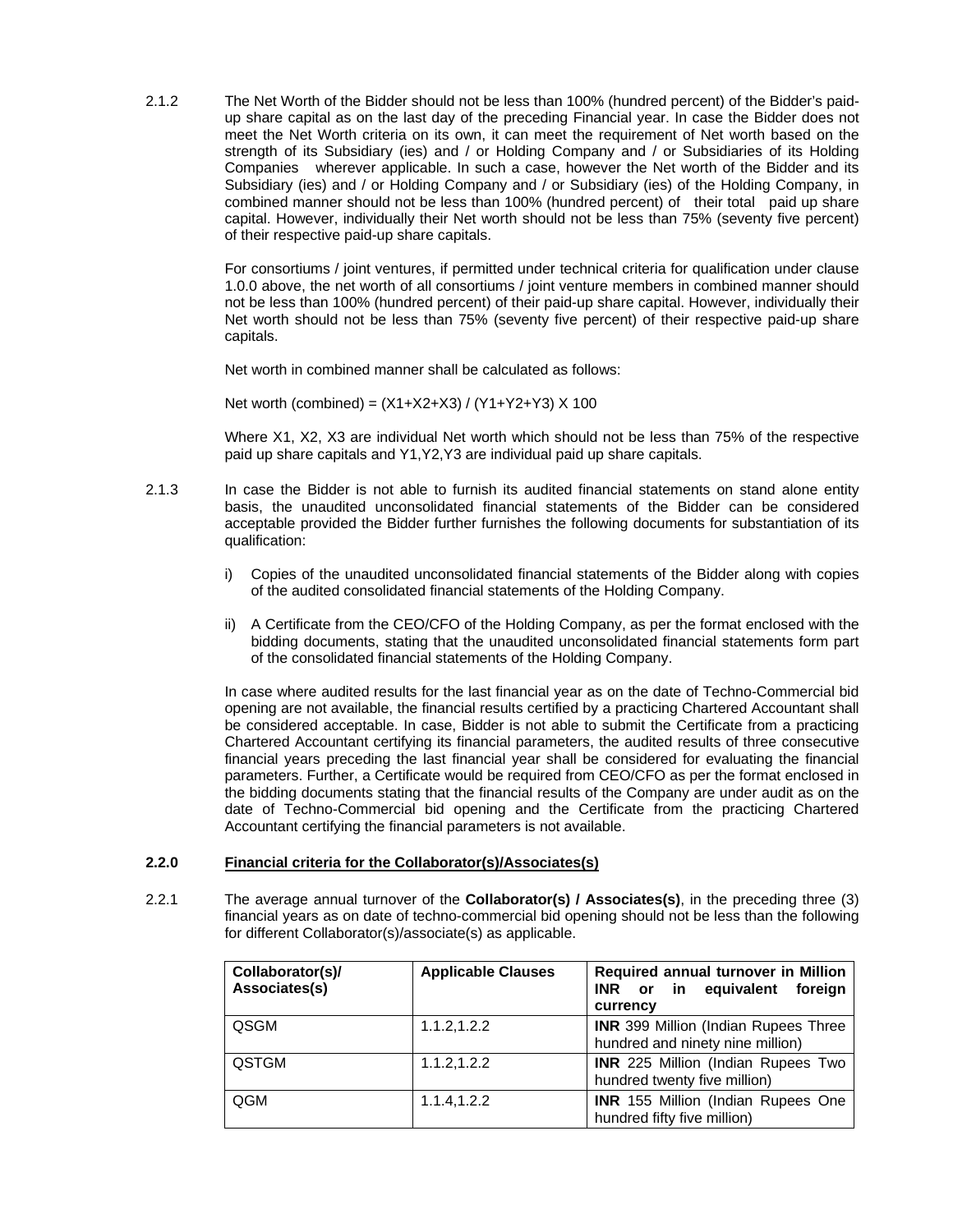2.1.2 The Net Worth of the Bidder should not be less than 100% (hundred percent) of the Bidder's paidup share capital as on the last day of the preceding Financial year. In case the Bidder does not meet the Net Worth criteria on its own, it can meet the requirement of Net worth based on the strength of its Subsidiary (ies) and / or Holding Company and / or Subsidiaries of its Holding Companies wherever applicable. In such a case, however the Net worth of the Bidder and its Subsidiary (ies) and / or Holding Company and / or Subsidiary (ies) of the Holding Company, in combined manner should not be less than 100% (hundred percent) of their total paid up share capital. However, individually their Net worth should not be less than 75% (seventy five percent) of their respective paid-up share capitals.

> For consortiums / joint ventures, if permitted under technical criteria for qualification under clause 1.0.0 above, the net worth of all consortiums / joint venture members in combined manner should not be less than 100% (hundred percent) of their paid-up share capital. However, individually their Net worth should not be less than 75% (seventy five percent) of their respective paid-up share capitals.

Net worth in combined manner shall be calculated as follows:

Net worth (combined) = (X1+X2+X3) / (Y1+Y2+Y3) X 100

Where X1, X2, X3 are individual Net worth which should not be less than 75% of the respective paid up share capitals and Y1,Y2,Y3 are individual paid up share capitals.

- 2.1.3 In case the Bidder is not able to furnish its audited financial statements on stand alone entity basis, the unaudited unconsolidated financial statements of the Bidder can be considered acceptable provided the Bidder further furnishes the following documents for substantiation of its qualification:
	- i) Copies of the unaudited unconsolidated financial statements of the Bidder along with copies of the audited consolidated financial statements of the Holding Company.
	- ii) A Certificate from the CEO/CFO of the Holding Company, as per the format enclosed with the bidding documents, stating that the unaudited unconsolidated financial statements form part of the consolidated financial statements of the Holding Company.

In case where audited results for the last financial year as on the date of Techno-Commercial bid opening are not available, the financial results certified by a practicing Chartered Accountant shall be considered acceptable. In case, Bidder is not able to submit the Certificate from a practicing Chartered Accountant certifying its financial parameters, the audited results of three consecutive financial years preceding the last financial year shall be considered for evaluating the financial parameters. Further, a Certificate would be required from CEO/CFO as per the format enclosed in the bidding documents stating that the financial results of the Company are under audit as on the date of Techno-Commercial bid opening and the Certificate from the practicing Chartered Accountant certifying the financial parameters is not available.

#### **2.2.0 Financial criteria for the Collaborator(s)/Associates(s)**

2.2.1 The average annual turnover of the **Collaborator(s) / Associates(s)**, in the preceding three (3) financial years as on date of techno-commercial bid opening should not be less than the following for different Collaborator(s)/associate(s) as applicable.

| Collaborator(s)/<br>Associates(s) | <b>Applicable Clauses</b> | Required annual turnover in Million<br>in in<br>equivalent<br><b>INR</b><br>foreign<br><b>or</b><br>currency |
|-----------------------------------|---------------------------|--------------------------------------------------------------------------------------------------------------|
| QSGM                              | 1.1.2, 1.2.2              | <b>INR</b> 399 Million (Indian Rupees Three<br>hundred and ninety nine million)                              |
| <b>QSTGM</b>                      | 1.1.2, 1.2.2              | <b>INR</b> 225 Million (Indian Rupees Two<br>hundred twenty five million)                                    |
| QGM                               | 1.1.4, 1.2.2              | <b>INR</b> 155 Million (Indian Rupees One<br>hundred fifty five million)                                     |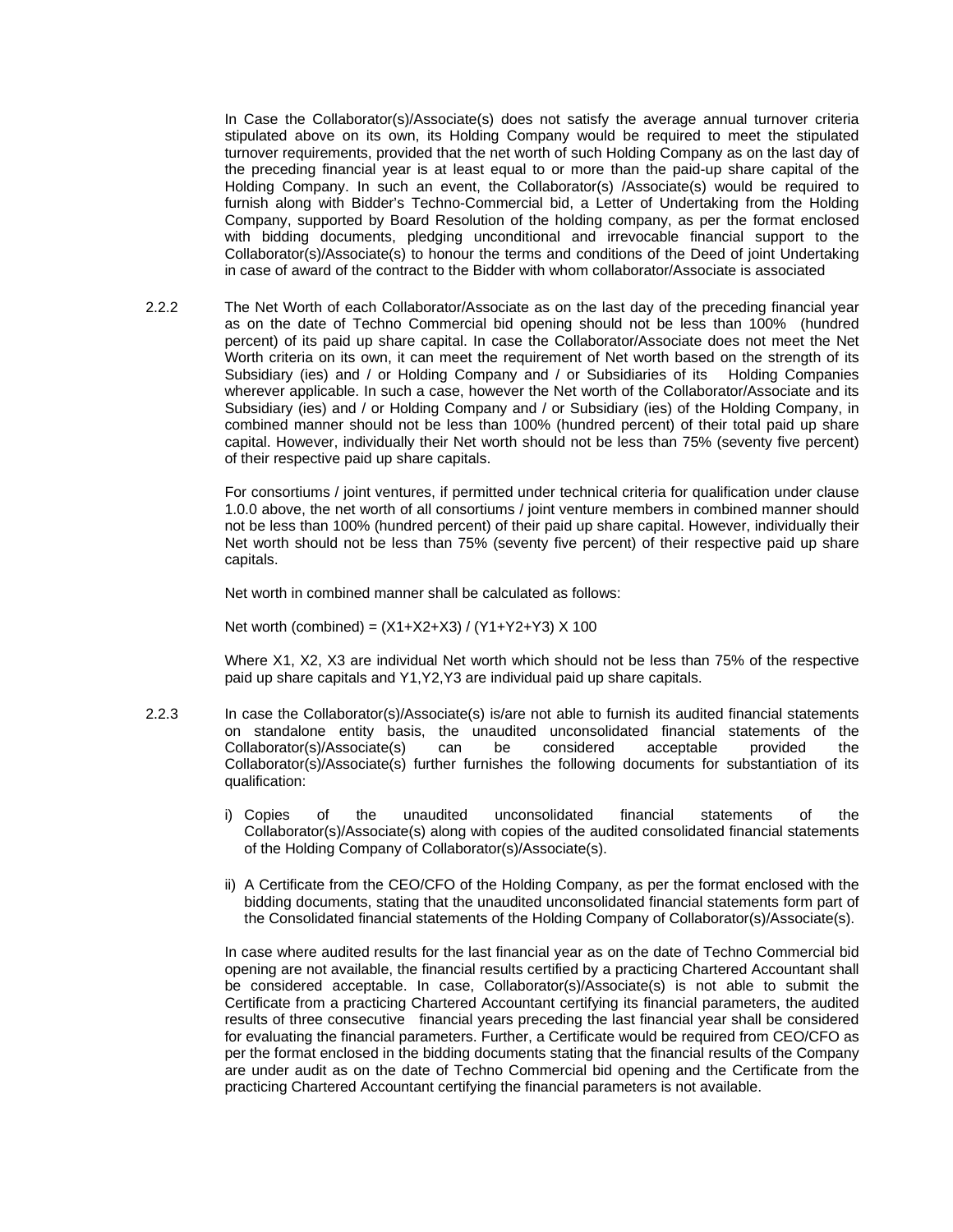In Case the Collaborator(s)/Associate(s) does not satisfy the average annual turnover criteria stipulated above on its own, its Holding Company would be required to meet the stipulated turnover requirements, provided that the net worth of such Holding Company as on the last day of the preceding financial year is at least equal to or more than the paid-up share capital of the Holding Company. In such an event, the Collaborator(s) /Associate(s) would be required to furnish along with Bidder's Techno-Commercial bid, a Letter of Undertaking from the Holding Company, supported by Board Resolution of the holding company, as per the format enclosed with bidding documents, pledging unconditional and irrevocable financial support to the Collaborator(s)/Associate(s) to honour the terms and conditions of the Deed of joint Undertaking in case of award of the contract to the Bidder with whom collaborator/Associate is associated

2.2.2 The Net Worth of each Collaborator/Associate as on the last day of the preceding financial year as on the date of Techno Commercial bid opening should not be less than 100% (hundred percent) of its paid up share capital. In case the Collaborator/Associate does not meet the Net Worth criteria on its own, it can meet the requirement of Net worth based on the strength of its Subsidiary (ies) and / or Holding Company and / or Subsidiaries of its Holding Companies wherever applicable. In such a case, however the Net worth of the Collaborator/Associate and its Subsidiary (ies) and / or Holding Company and / or Subsidiary (ies) of the Holding Company, in combined manner should not be less than 100% (hundred percent) of their total paid up share capital. However, individually their Net worth should not be less than 75% (seventy five percent) of their respective paid up share capitals.

> For consortiums / joint ventures, if permitted under technical criteria for qualification under clause 1.0.0 above, the net worth of all consortiums / joint venture members in combined manner should not be less than 100% (hundred percent) of their paid up share capital. However, individually their Net worth should not be less than 75% (seventy five percent) of their respective paid up share capitals.

Net worth in combined manner shall be calculated as follows:

Net worth (combined) =  $(X1+X2+X3) / (Y1+Y2+Y3) X 100$ 

Where X1, X2, X3 are individual Net worth which should not be less than 75% of the respective paid up share capitals and Y1,Y2,Y3 are individual paid up share capitals.

- 2.2.3 In case the Collaborator(s)/Associate(s) is/are not able to furnish its audited financial statements on standalone entity basis, the unaudited unconsolidated financial statements of the Collaborator(s)/Associate(s) can be considered acceptable provided the Collaborator(s)/Associate(s) further furnishes the following documents for substantiation of its qualification:
	- i) Copies of the unaudited unconsolidated financial statements of the Collaborator(s)/Associate(s) along with copies of the audited consolidated financial statements of the Holding Company of Collaborator(s)/Associate(s).
	- ii) A Certificate from the CEO/CFO of the Holding Company, as per the format enclosed with the bidding documents, stating that the unaudited unconsolidated financial statements form part of the Consolidated financial statements of the Holding Company of Collaborator(s)/Associate(s).

In case where audited results for the last financial year as on the date of Techno Commercial bid opening are not available, the financial results certified by a practicing Chartered Accountant shall be considered acceptable. In case, Collaborator(s)/Associate(s) is not able to submit the Certificate from a practicing Chartered Accountant certifying its financial parameters, the audited results of three consecutive financial years preceding the last financial year shall be considered for evaluating the financial parameters. Further, a Certificate would be required from CEO/CFO as per the format enclosed in the bidding documents stating that the financial results of the Company are under audit as on the date of Techno Commercial bid opening and the Certificate from the practicing Chartered Accountant certifying the financial parameters is not available.